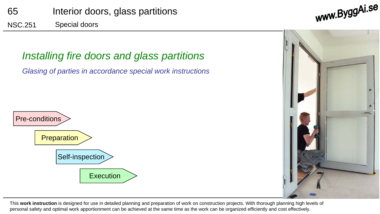

### *Installing fire doors and glass partitions*

*Glasing of parties in accordance special work instructions*





This **work instruction** is designed for use in detailed planning and preparation of work on construction projects. With thorough planning high levels of personal safety and optimal work apportionment can be achieved at the same time as the work can be organized efficiently and cost effectively.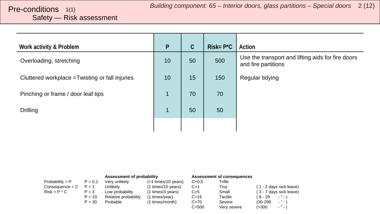## <span id="page-1-0"></span>Safety — Risk assessment

| Work activity & Problem                         | P              | $\mathcal{C}$ | $Risk = P^{\star}C$ | Action                                                                   |
|-------------------------------------------------|----------------|---------------|---------------------|--------------------------------------------------------------------------|
| Overloading, stretching                         | 10             | 50            | 500                 | Use the transport and lifting aids for fire doors<br>and fire partitions |
| Cluttered workplace = Twisting or fall injuries | 10             | 15            | 150                 | Regular tidying                                                          |
| Pinching or frame / door leaf tips              | $\overline{1}$ | 70            | 70                  |                                                                          |
| <b>Drilling</b>                                 | $\mathbf{1}$   | 50            | 50                  |                                                                          |
|                                                 |                |               |                     |                                                                          |

|                   |           | Assessment of probability |                       |           | <b>Assessment of consequences</b> |                         |
|-------------------|-----------|---------------------------|-----------------------|-----------|-----------------------------------|-------------------------|
| Probability = $P$ | $P = 0.1$ | Verv unlikelv             | $(<1$ times/10 years) | $C = 0.5$ | Trifle                            |                         |
| $Consequence = C$ | $P = 1$   | Unlikelv                  | (1 times/10 years)    | $C=1$     | Tiny                              | (1 - 2 days sick leave) |
| $Risk = P * C$    | $P = 3$   | Low probability           | (1 times/3 years)     | $C=5$     | Small                             | (3 - 7 days sick leave) |
|                   | $P = 10$  | Relative probability      | (1 times/year)        | $C = 15$  | Tactile                           | ( 8 - 29<br>$  \lambda$ |
|                   | $P = 30$  | Probable                  | (1 times/month)       | $C = 70$  | Severe                            | $\cdots$<br>$(30-299)$  |
|                   |           |                           |                       | $C = 500$ | Very severe                       | $ "$ $ )$<br>(>300      |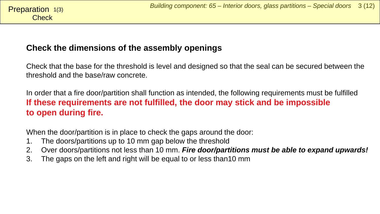#### <span id="page-2-0"></span>Check **Preparation**  $1(3)$

### **Check the dimensions of the assembly openings**

Check that the base for the threshold is level and designed so that the seal can be secured between the threshold and the base/raw concrete.

In order that a fire door/partition shall function as intended, the following requirements must be fulfilled **If these requirements are not fulfilled, the door may stick and be impossible to open during fire.**

When the door/partition is in place to check the gaps around the door:

- 1. The doors/partitions up to 10 mm gap below the threshold
- 2. Over doors/partitions not less than 10 mm. *Fire door/partitions must be able to expand upwards!*
- 3. The gaps on the left and right will be equal to or less than10 mm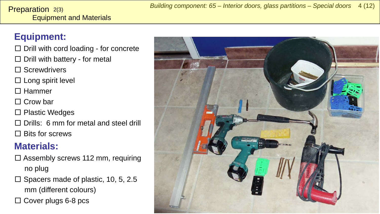#### Equipment and Materials **Preparation**  $2(3)$

## **Equipment:**

- $\square$  Drill with cord loading for concrete
- $\square$  Drill with battery for metal
- □ Screwdrivers
- $\square$  Long spirit level
- □ Hammer
- □ Crow bar
- □ Plastic Wedges
- $\Box$  Drills: 6 mm for metal and steel drill
- $\Box$  Bits for screws

## **Materials:**

- $\square$  Assembly screws 112 mm, requiring no plug
- $\square$  Spacers made of plastic, 10, 5, 2.5 mm (different colours)
- $\Box$  Cover plugs 6-8 pcs

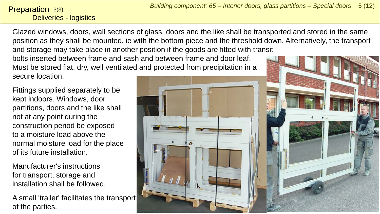#### Deliveries - logistics **Preparation**  $3(3)$

Glazed windows, doors, wall sections of glass, doors and the like shall be transported and stored in the same position as they shall be mounted, ie with the bottom piece and the threshold down. Alternatively, the transport and storage may take place in another position if the goods are fitted with transit bolts inserted between frame and sash and between frame and door leaf.

secure location.

Fittings supplied separately to be kept indoors. Windows, door partitions, doors and the like shall not at any point during the construction period be exposed to a moisture load above the normal moisture load for the place of its future installation.

Manufacturer's instructions for transport, storage and installation shall be followed.

A small 'trailer' facilitates the transport of the parties.

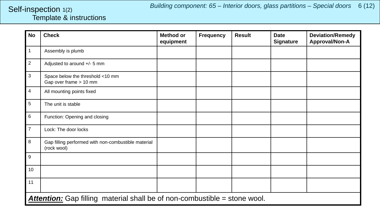*Building component: 65 – Interior doors, glass partitions – Special doors* 6 (12)

#### <span id="page-5-0"></span>Template & instructions Self-inspection 1(2)

| No             | <b>Check</b>                                                              | Method or<br>equipment | <b>Frequency</b> | <b>Result</b> | <b>Date</b><br><b>Signature</b> | <b>Deviation/Remedy</b><br>Approval/Non-A |  |  |
|----------------|---------------------------------------------------------------------------|------------------------|------------------|---------------|---------------------------------|-------------------------------------------|--|--|
| $\mathbf{1}$   | Assembly is plumb                                                         |                        |                  |               |                                 |                                           |  |  |
| $\overline{c}$ | Adjusted to around +/- 5 mm                                               |                        |                  |               |                                 |                                           |  |  |
| 3              | Space below the threshold <10 mm<br>Gap over frame > 10 mm                |                        |                  |               |                                 |                                           |  |  |
| $\overline{4}$ | All mounting points fixed                                                 |                        |                  |               |                                 |                                           |  |  |
| 5              | The unit is stable                                                        |                        |                  |               |                                 |                                           |  |  |
| $\,6\,$        | Function: Opening and closing                                             |                        |                  |               |                                 |                                           |  |  |
| $\overline{7}$ | Lock: The door locks                                                      |                        |                  |               |                                 |                                           |  |  |
| 8              | Gap filling performed with non-combustible material<br>(rock wool)        |                        |                  |               |                                 |                                           |  |  |
| 9              |                                                                           |                        |                  |               |                                 |                                           |  |  |
| 10             |                                                                           |                        |                  |               |                                 |                                           |  |  |
| 11             |                                                                           |                        |                  |               |                                 |                                           |  |  |
|                | Attention: Gap filling material shall be of non-combustible = stone wool. |                        |                  |               |                                 |                                           |  |  |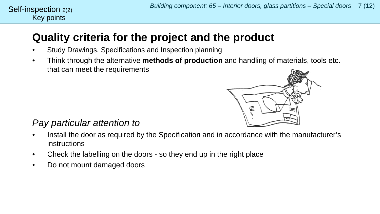## **Quality criteria for the project and the product**

- Study Drawings, Specifications and Inspection planning
- Think through the alternative **methods of production** and handling of materials, tools etc. that can meet the requirements



### *Pay particular attention to*

Key points

Self-inspection  $2(2)$ 

- Install the door as required by the Specification and in accordance with the manufacturer's instructions
- Check the labelling on the doors so they end up in the right place
- Do not mount damaged doors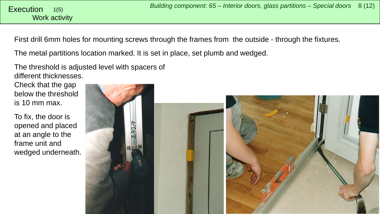<span id="page-7-0"></span>First drill 6mm holes for mounting screws through the frames from the outside - through the fixtures.

The metal partitions location marked. It is set in place, set plumb and wedged.

The threshold is adjusted level with spacers of different thicknesses.

Check that the gap below the threshold is 10 mm max.

To fix, the door is opened and placed at an angle to the frame unit and wedged underneath.

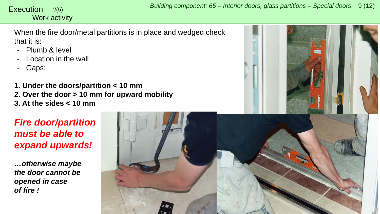# Work activity

*Building component: 65 – Interior doors, glass partitions – Special doors* <sup>9</sup> (12) Execution 2(5)

When the fire door/metal partitions is in place and wedged check that it is:

- Plumb & level
- Location in the wall
- Gaps:

**1. Under the doors/partition < 10 mm 2. Over the door > 10 mm for upward mobility 3. At the sides < 10 mm**



### *Fire door/partition must be able to expand upwards!*

*…otherwise maybe the door cannot be opened in case of fire !*

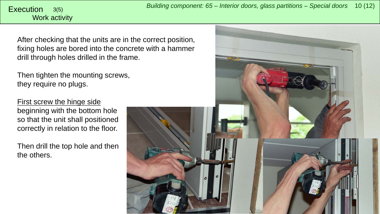# Work activity

After checking that the units are in the correct position, fixing holes are bored into the concrete with a hammer drill through holes drilled in the frame.

Then tighten the mounting screws, they require no plugs.

First screw the hinge side beginning with the bottom hole so that the unit shall positioned correctly in relation to the floor.

Then drill the top hole and then the others.

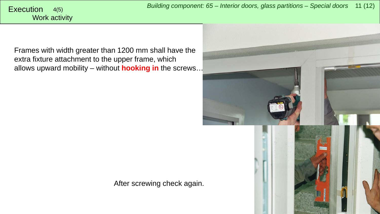*Building component: 65 – Interior doors, glass partitions – Special doors* <sup>11</sup> (12) Execution 4(5)

# Work activity

Frames with width greater than 1200 mm shall have the extra fixture attachment to the upper frame, which allows upward mobility – without **hooking in** the screws…



After screwing check again.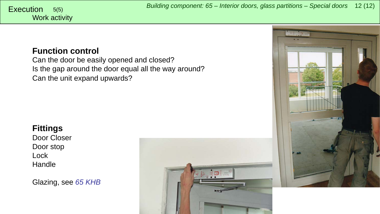### **Function control**

Can the door be easily opened and closed? Is the gap around the door equal all the way around? Can the unit expand upwards?

### **Fittings**

Door Closer Door stop Lock **Handle** 

Glazing, see *65 KHB*